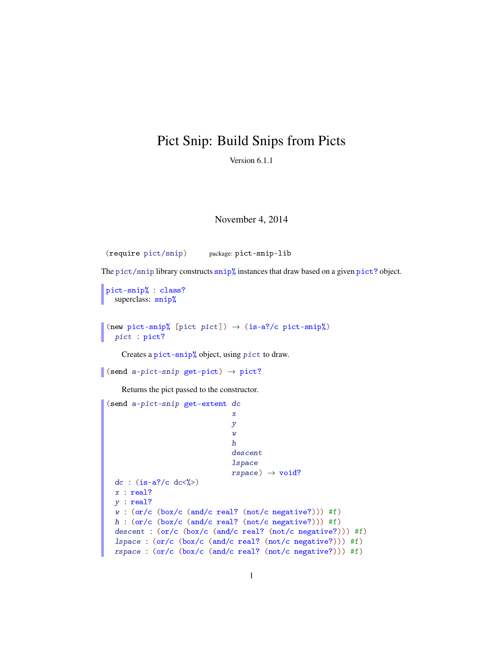## Pict Snip: Build Snips from Picts

Version 6.1.1

## November 4, 2014

(require pict/snip) package: pict-snip-lib

The pict/snip library constructs snip% instances that draw based on a given pict? object.

```
pict-snip% : class?
 superclass: snip%
```
(new pict-snip% [pict pict])  $\rightarrow$  (is-a?/c pict-snip%) pict : pict?

Creates a pict-snip% object, using pict to draw.

```
(send a-pict-snip get-pict) \rightarrow pict?
```
Returns the pict passed to the constructor.

```
(send a-pict-snip get-extent dc
                             x
                             y
                             w
                             h
                             descent
                             lspace
                             rspace) \rightarrow void?dc : (is-a?/c dc<sub>8</sub>>)x : real?
y : real?
w : (or/c (box/c (and/c real? (not/c negative?))) #f)
h : (or/c (box/c (and/c real? (not/c negative?))) #f)
descent : (or/c (box/c (and/c real? (not/c negative?))) #f)lspace : (or/c (box/c (and/c real? (not/c negative?))) #f)
rspace : (or/c (box/c (and/c real? (not/c negative?))) #f)
```